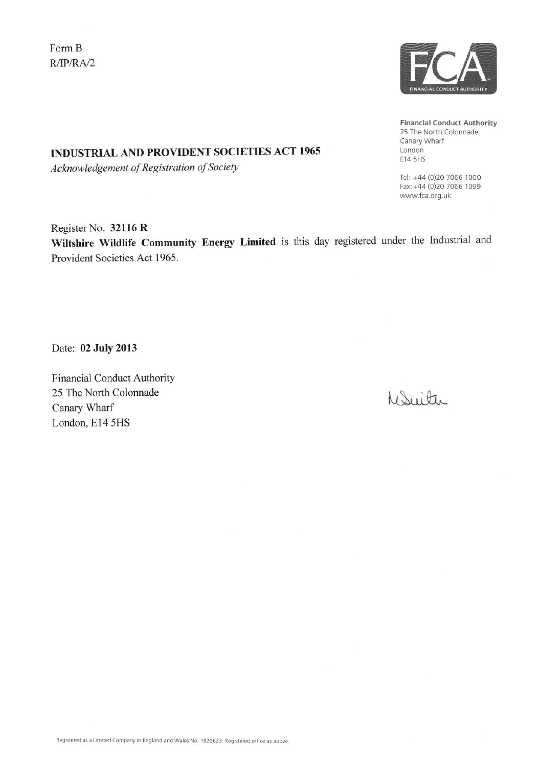Form B  $R/IP/RA/2$ 



**Financial Conduct Authority** 25 The North Colonnade Canary Wharf London E14 5HS

Tel: +44 (0)20 7066 1000 Fax: +44 (0)20 7066 1099 www.fca.org.uk

# Register No. 32116 R

**INDUSTRIAL AND PROVIDENT SOCIETIES ACT 1965** 

Acknowledgement of Registration of Society

Wiltshire Wildlife Community Energy Limited is this day registered under the Industrial and Provident Societies Act 1965.

Date: 02 July 2013

**Financial Conduct Authority** 25 The North Colonnade Canary Wharf London, E14 5HS

WSwitter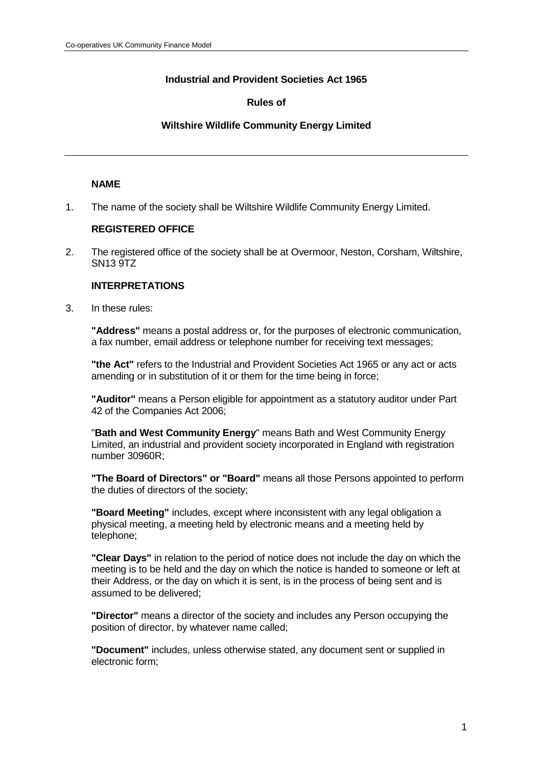# **Industrial and Provident Societies Act 1965**

## **Rules of**

### **Wiltshire Wildlife Community Energy Limited**

### **NAME**

1. The name of the society shall be Wiltshire Wildlife Community Energy Limited.

### **REGISTERED OFFICE**

2. The registered office of the society shall be at Overmoor, Neston, Corsham, Wiltshire, SN13 9TZ

# **INTERPRETATIONS**

3. In these rules:

**"Address"** means a postal address or, for the purposes of electronic communication, a fax number, email address or telephone number for receiving text messages;

**"the Act"** refers to the Industrial and Provident Societies Act 1965 or any act or acts amending or in substitution of it or them for the time being in force;

**"Auditor"** means a Person eligible for appointment as a statutory auditor under Part 42 of the Companies Act 2006;

"**Bath and West Community Energy**" means Bath and West Community Energy Limited, an industrial and provident society incorporated in England with registration number 30960R;

**"The Board of Directors" or "Board"** means all those Persons appointed to perform the duties of directors of the society;

**"Board Meeting"** includes, except where inconsistent with any legal obligation a physical meeting, a meeting held by electronic means and a meeting held by telephone;

**"Clear Days"** in relation to the period of notice does not include the day on which the meeting is to be held and the day on which the notice is handed to someone or left at their Address, or the day on which it is sent, is in the process of being sent and is assumed to be delivered;

**"Director"** means a director of the society and includes any Person occupying the position of director, by whatever name called;

**"Document"** includes, unless otherwise stated, any document sent or supplied in electronic form;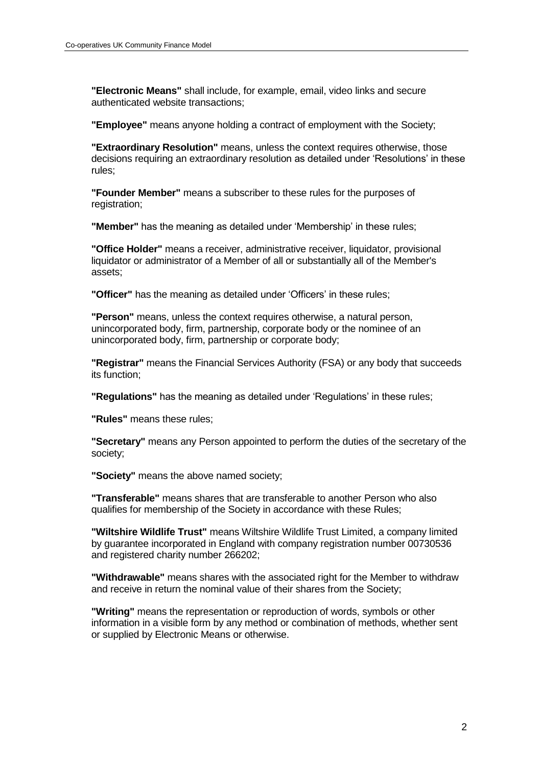**"Electronic Means"** shall include, for example, email, video links and secure authenticated website transactions;

**"Employee"** means anyone holding a contract of employment with the Society;

**"Extraordinary Resolution"** means, unless the context requires otherwise, those decisions requiring an extraordinary resolution as detailed under 'Resolutions' in these rules;

**"Founder Member"** means a subscriber to these rules for the purposes of registration:

**"Member"** has the meaning as detailed under 'Membership' in these rules;

**"Office Holder"** means a receiver, administrative receiver, liquidator, provisional liquidator or administrator of a Member of all or substantially all of the Member's assets;

**"Officer"** has the meaning as detailed under 'Officers' in these rules;

**"Person"** means, unless the context requires otherwise, a natural person, unincorporated body, firm, partnership, corporate body or the nominee of an unincorporated body, firm, partnership or corporate body;

**"Registrar"** means the Financial Services Authority (FSA) or any body that succeeds its function;

**"Regulations"** has the meaning as detailed under 'Regulations' in these rules;

**"Rules"** means these rules;

**"Secretary"** means any Person appointed to perform the duties of the secretary of the society;

**"Society"** means the above named society;

**"Transferable"** means shares that are transferable to another Person who also qualifies for membership of the Society in accordance with these Rules;

**"Wiltshire Wildlife Trust"** means Wiltshire Wildlife Trust Limited, a company limited by guarantee incorporated in England with company registration number 00730536 and registered charity number 266202;

**"Withdrawable"** means shares with the associated right for the Member to withdraw and receive in return the nominal value of their shares from the Society;

**"Writing"** means the representation or reproduction of words, symbols or other information in a visible form by any method or combination of methods, whether sent or supplied by Electronic Means or otherwise.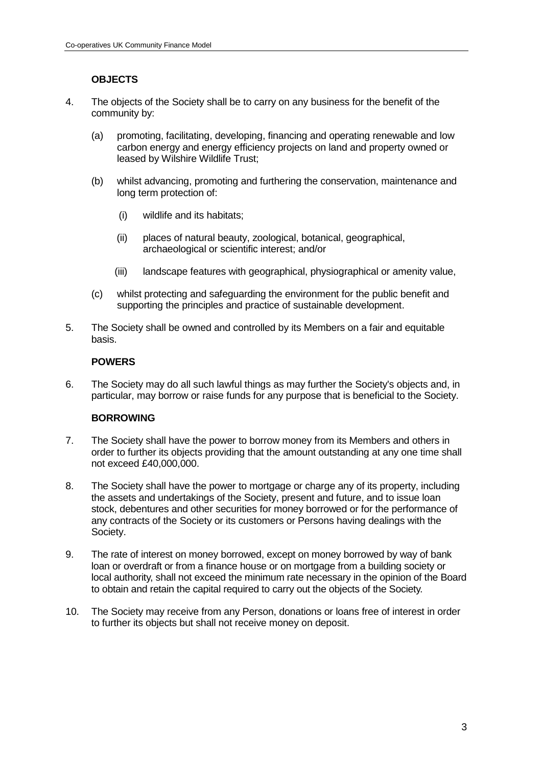# **OBJECTS**

- 4. The objects of the Society shall be to carry on any business for the benefit of the community by:
	- (a) promoting, facilitating, developing, financing and operating renewable and low carbon energy and energy efficiency projects on land and property owned or leased by Wilshire Wildlife Trust;
	- (b) whilst advancing, promoting and furthering the conservation, maintenance and long term protection of:
		- (i) wildlife and its habitats;
		- (ii) places of natural beauty, zoological, botanical, geographical, archaeological or scientific interest; and/or
		- (iii) landscape features with geographical, physiographical or amenity value,
	- (c) whilst protecting and safeguarding the environment for the public benefit and supporting the principles and practice of sustainable development.
- 5. The Society shall be owned and controlled by its Members on a fair and equitable basis.

## **POWERS**

6. The Society may do all such lawful things as may further the Society's objects and, in particular, may borrow or raise funds for any purpose that is beneficial to the Society.

## **BORROWING**

- 7. The Society shall have the power to borrow money from its Members and others in order to further its objects providing that the amount outstanding at any one time shall not exceed £40,000,000.
- 8. The Society shall have the power to mortgage or charge any of its property, including the assets and undertakings of the Society, present and future, and to issue loan stock, debentures and other securities for money borrowed or for the performance of any contracts of the Society or its customers or Persons having dealings with the Society.
- 9. The rate of interest on money borrowed, except on money borrowed by way of bank loan or overdraft or from a finance house or on mortgage from a building society or local authority, shall not exceed the minimum rate necessary in the opinion of the Board to obtain and retain the capital required to carry out the objects of the Society.
- 10. The Society may receive from any Person, donations or loans free of interest in order to further its objects but shall not receive money on deposit.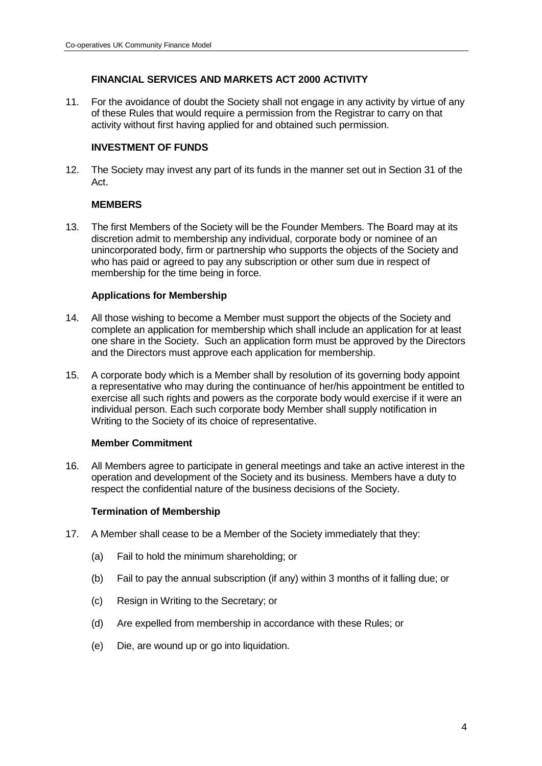# **FINANCIAL SERVICES AND MARKETS ACT 2000 ACTIVITY**

11. For the avoidance of doubt the Society shall not engage in any activity by virtue of any of these Rules that would require a permission from the Registrar to carry on that activity without first having applied for and obtained such permission.

## **INVESTMENT OF FUNDS**

12. The Society may invest any part of its funds in the manner set out in Section 31 of the Act.

## **MEMBERS**

13. The first Members of the Society will be the Founder Members. The Board may at its discretion admit to membership any individual, corporate body or nominee of an unincorporated body, firm or partnership who supports the objects of the Society and who has paid or agreed to pay any subscription or other sum due in respect of membership for the time being in force.

### **Applications for Membership**

- 14. All those wishing to become a Member must support the objects of the Society and complete an application for membership which shall include an application for at least one share in the Society. Such an application form must be approved by the Directors and the Directors must approve each application for membership.
- 15. A corporate body which is a Member shall by resolution of its governing body appoint a representative who may during the continuance of her/his appointment be entitled to exercise all such rights and powers as the corporate body would exercise if it were an individual person. Each such corporate body Member shall supply notification in Writing to the Society of its choice of representative.

## **Member Commitment**

16. All Members agree to participate in general meetings and take an active interest in the operation and development of the Society and its business. Members have a duty to respect the confidential nature of the business decisions of the Society.

#### **Termination of Membership**

- 17. A Member shall cease to be a Member of the Society immediately that they:
	- (a) Fail to hold the minimum shareholding; or
	- (b) Fail to pay the annual subscription (if any) within 3 months of it falling due; or
	- (c) Resign in Writing to the Secretary; or
	- (d) Are expelled from membership in accordance with these Rules; or
	- (e) Die, are wound up or go into liquidation.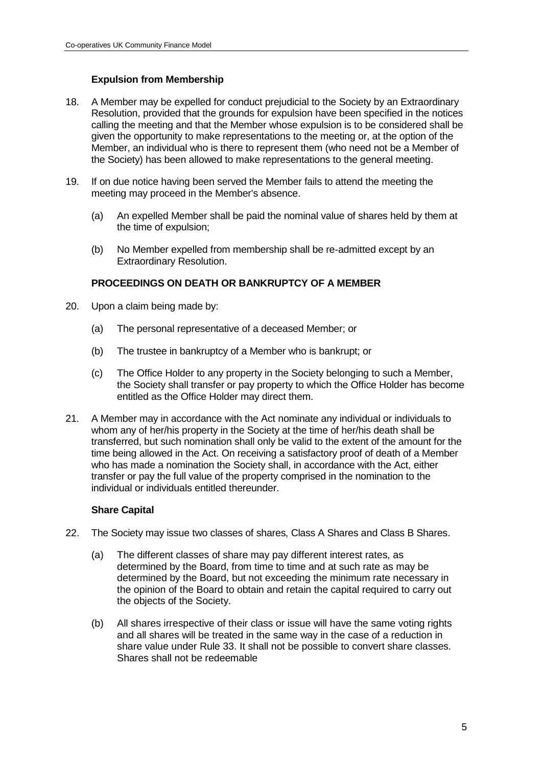# **Expulsion from Membership**

- 18. A Member may be expelled for conduct prejudicial to the Society by an Extraordinary Resolution, provided that the grounds for expulsion have been specified in the notices calling the meeting and that the Member whose expulsion is to be considered shall be given the opportunity to make representations to the meeting or, at the option of the Member, an individual who is there to represent them (who need not be a Member of the Society) has been allowed to make representations to the general meeting.
- 19. If on due notice having been served the Member fails to attend the meeting the meeting may proceed in the Member's absence.
	- (a) An expelled Member shall be paid the nominal value of shares held by them at the time of expulsion;
	- (b) No Member expelled from membership shall be re-admitted except by an Extraordinary Resolution.

## **PROCEEDINGS ON DEATH OR BANKRUPTCY OF A MEMBER**

- 20. Upon a claim being made by:
	- (a) The personal representative of a deceased Member; or
	- (b) The trustee in bankruptcy of a Member who is bankrupt; or
	- (c) The Office Holder to any property in the Society belonging to such a Member, the Society shall transfer or pay property to which the Office Holder has become entitled as the Office Holder may direct them.
- 21. A Member may in accordance with the Act nominate any individual or individuals to whom any of her/his property in the Society at the time of her/his death shall be transferred, but such nomination shall only be valid to the extent of the amount for the time being allowed in the Act. On receiving a satisfactory proof of death of a Member who has made a nomination the Society shall, in accordance with the Act, either transfer or pay the full value of the property comprised in the nomination to the individual or individuals entitled thereunder.

## **Share Capital**

- 22. The Society may issue two classes of shares, Class A Shares and Class B Shares.
	- (a) The different classes of share may pay different interest rates, as determined by the Board, from time to time and at such rate as may be determined by the Board, but not exceeding the minimum rate necessary in the opinion of the Board to obtain and retain the capital required to carry out the objects of the Society.
	- (b) All shares irrespective of their class or issue will have the same voting rights and all shares will be treated in the same way in the case of a reduction in share value under Rule 33. It shall not be possible to convert share classes. Shares shall not be redeemable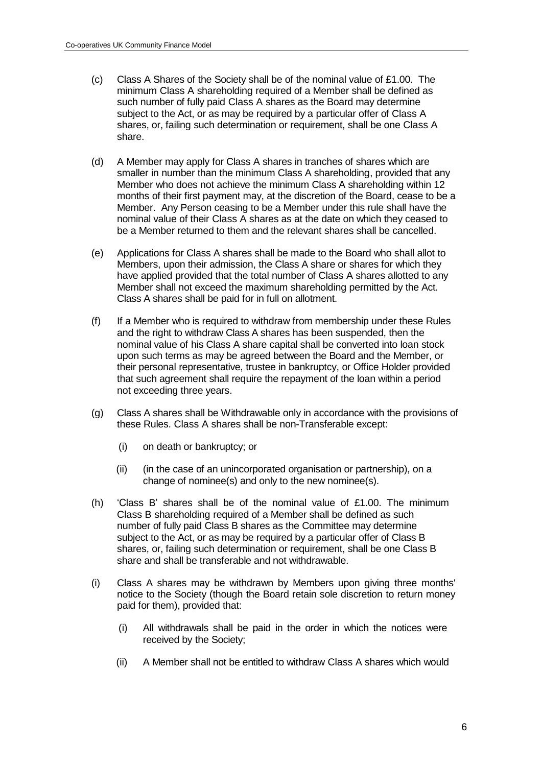- (c) Class A Shares of the Society shall be of the nominal value of £1.00. The minimum Class A shareholding required of a Member shall be defined as such number of fully paid Class A shares as the Board may determine subject to the Act, or as may be required by a particular offer of Class A shares, or, failing such determination or requirement, shall be one Class A share.
- (d) A Member may apply for Class A shares in tranches of shares which are smaller in number than the minimum Class A shareholding, provided that any Member who does not achieve the minimum Class A shareholding within 12 months of their first payment may, at the discretion of the Board, cease to be a Member. Any Person ceasing to be a Member under this rule shall have the nominal value of their Class A shares as at the date on which they ceased to be a Member returned to them and the relevant shares shall be cancelled.
- (e) Applications for Class A shares shall be made to the Board who shall allot to Members, upon their admission, the Class A share or shares for which they have applied provided that the total number of Class A shares allotted to any Member shall not exceed the maximum shareholding permitted by the Act. Class A shares shall be paid for in full on allotment.
- (f) If a Member who is required to withdraw from membership under these Rules and the right to withdraw Class A shares has been suspended, then the nominal value of his Class A share capital shall be converted into loan stock upon such terms as may be agreed between the Board and the Member, or their personal representative, trustee in bankruptcy, or Office Holder provided that such agreement shall require the repayment of the loan within a period not exceeding three years.
- (g) Class A shares shall be Withdrawable only in accordance with the provisions of these Rules. Class A shares shall be non-Transferable except:
	- (i) on death or bankruptcy; or
	- (ii) (in the case of an unincorporated organisation or partnership), on a change of nominee(s) and only to the new nominee(s).
- (h) 'Class B' shares shall be of the nominal value of  $£1.00$ . The minimum Class B shareholding required of a Member shall be defined as such number of fully paid Class B shares as the Committee may determine subject to the Act, or as may be required by a particular offer of Class B shares, or, failing such determination or requirement, shall be one Class B share and shall be transferable and not withdrawable.
- (i) Class A shares may be withdrawn by Members upon giving three months' notice to the Society (though the Board retain sole discretion to return money paid for them), provided that:
	- (i) All withdrawals shall be paid in the order in which the notices were received by the Society;
	- (ii) A Member shall not be entitled to withdraw Class A shares which would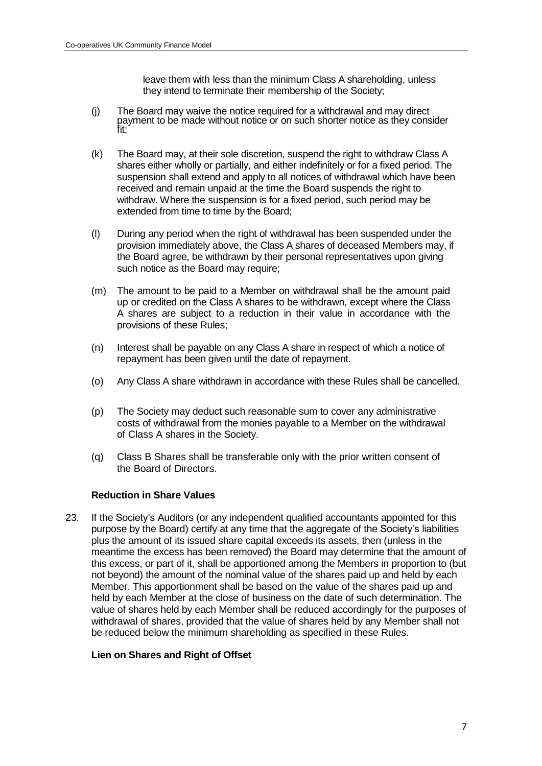leave them with less than the minimum Class A shareholding, unless they intend to terminate their membership of the Society;

- (j) The Board may waive the notice required for a withdrawal and may direct payment to be made without notice or on such shorter notice as they consider fit;
- (k) The Board may, at their sole discretion, suspend the right to withdraw Class A shares either wholly or partially, and either indefinitely or for a fixed period. The suspension shall extend and apply to all notices of withdrawal which have been received and remain unpaid at the time the Board suspends the right to withdraw. Where the suspension is for a fixed period, such period may be extended from time to time by the Board;
- (l) During any period when the right of withdrawal has been suspended under the provision immediately above, the Class A shares of deceased Members may, if the Board agree, be withdrawn by their personal representatives upon giving such notice as the Board may require:
- (m) The amount to be paid to a Member on withdrawal shall be the amount paid up or credited on the Class A shares to be withdrawn, except where the Class A shares are subject to a reduction in their value in accordance with the provisions of these Rules;
- (n) Interest shall be payable on any Class A share in respect of which a notice of repayment has been given until the date of repayment.
- (o) Any Class A share withdrawn in accordance with these Rules shall be cancelled.
- (p) The Society may deduct such reasonable sum to cover any administrative costs of withdrawal from the monies payable to a Member on the withdrawal of Class A shares in the Society.
- (q) Class B Shares shall be transferable only with the prior written consent of the Board of Directors.

## **Reduction in Share Values**

23. If the Society's Auditors (or any independent qualified accountants appointed for this purpose by the Board) certify at any time that the aggregate of the Society's liabilities plus the amount of its issued share capital exceeds its assets, then (unless in the meantime the excess has been removed) the Board may determine that the amount of this excess, or part of it, shall be apportioned among the Members in proportion to (but not beyond) the amount of the nominal value of the shares paid up and held by each Member. This apportionment shall be based on the value of the shares paid up and held by each Member at the close of business on the date of such determination. The value of shares held by each Member shall be reduced accordingly for the purposes of withdrawal of shares, provided that the value of shares held by any Member shall not be reduced below the minimum shareholding as specified in these Rules.

#### **Lien on Shares and Right of Offset**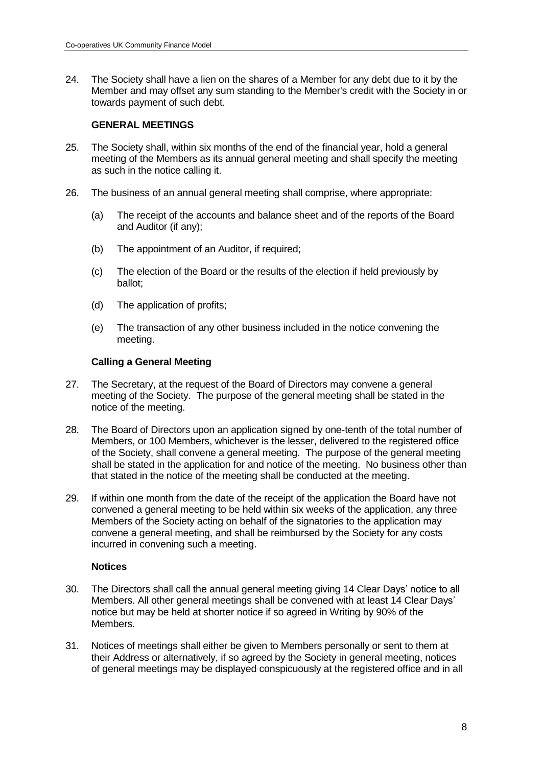24. The Society shall have a lien on the shares of a Member for any debt due to it by the Member and may offset any sum standing to the Member's credit with the Society in or towards payment of such debt.

### **GENERAL MEETINGS**

- 25. The Society shall, within six months of the end of the financial year, hold a general meeting of the Members as its annual general meeting and shall specify the meeting as such in the notice calling it.
- 26. The business of an annual general meeting shall comprise, where appropriate:
	- (a) The receipt of the accounts and balance sheet and of the reports of the Board and Auditor (if any);
	- (b) The appointment of an Auditor, if required;
	- (c) The election of the Board or the results of the election if held previously by ballot;
	- (d) The application of profits;
	- (e) The transaction of any other business included in the notice convening the meeting.

### **Calling a General Meeting**

- 27. The Secretary, at the request of the Board of Directors may convene a general meeting of the Society. The purpose of the general meeting shall be stated in the notice of the meeting.
- 28. The Board of Directors upon an application signed by one-tenth of the total number of Members, or 100 Members, whichever is the lesser, delivered to the registered office of the Society, shall convene a general meeting. The purpose of the general meeting shall be stated in the application for and notice of the meeting. No business other than that stated in the notice of the meeting shall be conducted at the meeting.
- 29. If within one month from the date of the receipt of the application the Board have not convened a general meeting to be held within six weeks of the application, any three Members of the Society acting on behalf of the signatories to the application may convene a general meeting, and shall be reimbursed by the Society for any costs incurred in convening such a meeting.

## **Notices**

- 30. The Directors shall call the annual general meeting giving 14 Clear Days' notice to all Members. All other general meetings shall be convened with at least 14 Clear Days' notice but may be held at shorter notice if so agreed in Writing by 90% of the Members.
- 31. Notices of meetings shall either be given to Members personally or sent to them at their Address or alternatively, if so agreed by the Society in general meeting, notices of general meetings may be displayed conspicuously at the registered office and in all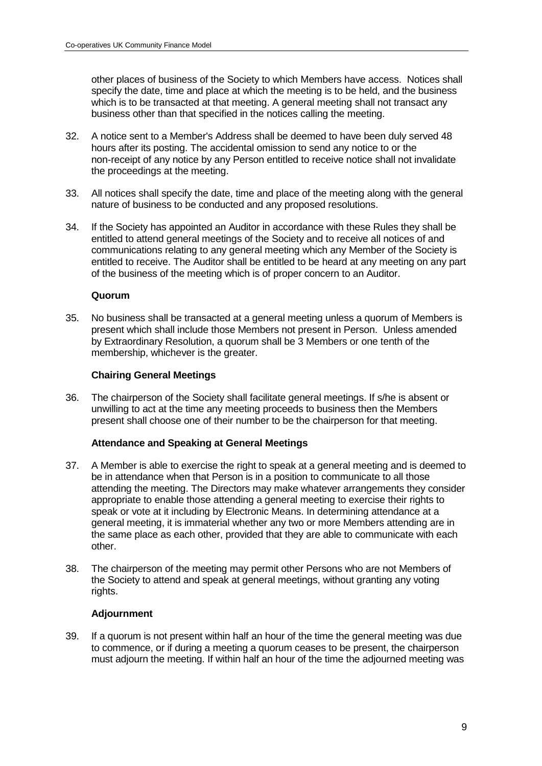other places of business of the Society to which Members have access. Notices shall specify the date, time and place at which the meeting is to be held, and the business which is to be transacted at that meeting. A general meeting shall not transact any business other than that specified in the notices calling the meeting.

- 32. A notice sent to a Member's Address shall be deemed to have been duly served 48 hours after its posting. The accidental omission to send any notice to or the non-receipt of any notice by any Person entitled to receive notice shall not invalidate the proceedings at the meeting.
- 33. All notices shall specify the date, time and place of the meeting along with the general nature of business to be conducted and any proposed resolutions.
- 34. If the Society has appointed an Auditor in accordance with these Rules they shall be entitled to attend general meetings of the Society and to receive all notices of and communications relating to any general meeting which any Member of the Society is entitled to receive. The Auditor shall be entitled to be heard at any meeting on any part of the business of the meeting which is of proper concern to an Auditor.

#### **Quorum**

35. No business shall be transacted at a general meeting unless a quorum of Members is present which shall include those Members not present in Person. Unless amended by Extraordinary Resolution, a quorum shall be 3 Members or one tenth of the membership, whichever is the greater.

## **Chairing General Meetings**

36. The chairperson of the Society shall facilitate general meetings. If s/he is absent or unwilling to act at the time any meeting proceeds to business then the Members present shall choose one of their number to be the chairperson for that meeting.

## **Attendance and Speaking at General Meetings**

- 37. A Member is able to exercise the right to speak at a general meeting and is deemed to be in attendance when that Person is in a position to communicate to all those attending the meeting. The Directors may make whatever arrangements they consider appropriate to enable those attending a general meeting to exercise their rights to speak or vote at it including by Electronic Means. In determining attendance at a general meeting, it is immaterial whether any two or more Members attending are in the same place as each other, provided that they are able to communicate with each other.
- 38. The chairperson of the meeting may permit other Persons who are not Members of the Society to attend and speak at general meetings, without granting any voting rights.

## **Adjournment**

39. If a quorum is not present within half an hour of the time the general meeting was due to commence, or if during a meeting a quorum ceases to be present, the chairperson must adjourn the meeting. If within half an hour of the time the adjourned meeting was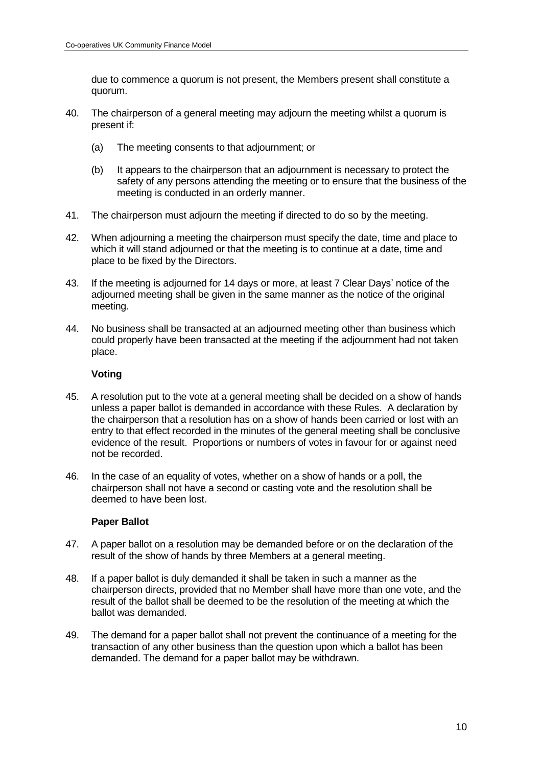due to commence a quorum is not present, the Members present shall constitute a quorum.

- 40. The chairperson of a general meeting may adjourn the meeting whilst a quorum is present if:
	- (a) The meeting consents to that adjournment; or
	- (b) It appears to the chairperson that an adjournment is necessary to protect the safety of any persons attending the meeting or to ensure that the business of the meeting is conducted in an orderly manner.
- 41. The chairperson must adjourn the meeting if directed to do so by the meeting.
- 42. When adjourning a meeting the chairperson must specify the date, time and place to which it will stand adjourned or that the meeting is to continue at a date, time and place to be fixed by the Directors.
- 43. If the meeting is adjourned for 14 days or more, at least 7 Clear Days' notice of the adjourned meeting shall be given in the same manner as the notice of the original meeting.
- 44. No business shall be transacted at an adjourned meeting other than business which could properly have been transacted at the meeting if the adjournment had not taken place.

### **Voting**

- 45. A resolution put to the vote at a general meeting shall be decided on a show of hands unless a paper ballot is demanded in accordance with these Rules. A declaration by the chairperson that a resolution has on a show of hands been carried or lost with an entry to that effect recorded in the minutes of the general meeting shall be conclusive evidence of the result. Proportions or numbers of votes in favour for or against need not be recorded.
- 46. In the case of an equality of votes, whether on a show of hands or a poll, the chairperson shall not have a second or casting vote and the resolution shall be deemed to have been lost.

## **Paper Ballot**

- 47. A paper ballot on a resolution may be demanded before or on the declaration of the result of the show of hands by three Members at a general meeting.
- 48. If a paper ballot is duly demanded it shall be taken in such a manner as the chairperson directs, provided that no Member shall have more than one vote, and the result of the ballot shall be deemed to be the resolution of the meeting at which the ballot was demanded.
- 49. The demand for a paper ballot shall not prevent the continuance of a meeting for the transaction of any other business than the question upon which a ballot has been demanded. The demand for a paper ballot may be withdrawn.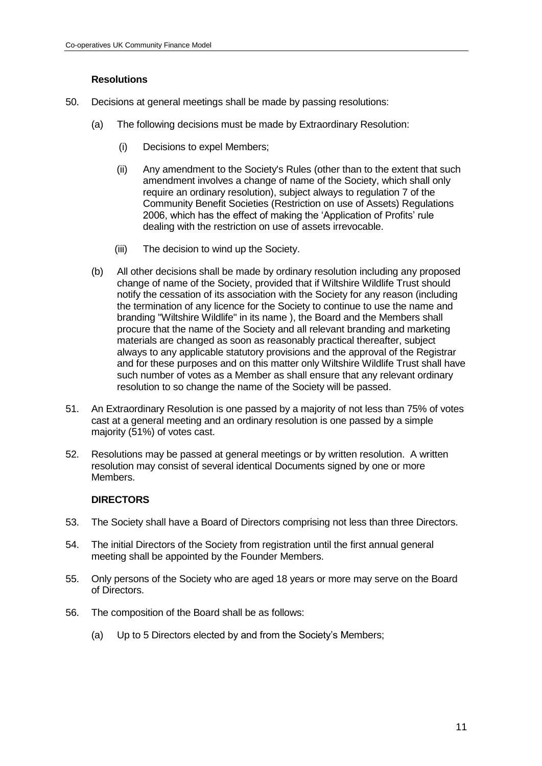# **Resolutions**

- 50. Decisions at general meetings shall be made by passing resolutions:
	- (a) The following decisions must be made by Extraordinary Resolution:
		- (i) Decisions to expel Members;
		- (ii) Any amendment to the Society's Rules (other than to the extent that such amendment involves a change of name of the Society, which shall only require an ordinary resolution), subject always to regulation 7 of the Community Benefit Societies (Restriction on use of Assets) Regulations 2006, which has the effect of making the 'Application of Profits' rule dealing with the restriction on use of assets irrevocable.
		- (iii) The decision to wind up the Society.
	- (b) All other decisions shall be made by ordinary resolution including any proposed change of name of the Society, provided that if Wiltshire Wildlife Trust should notify the cessation of its association with the Society for any reason (including the termination of any licence for the Society to continue to use the name and branding "Wiltshire Wildlife" in its name ), the Board and the Members shall procure that the name of the Society and all relevant branding and marketing materials are changed as soon as reasonably practical thereafter, subject always to any applicable statutory provisions and the approval of the Registrar and for these purposes and on this matter only Wiltshire Wildlife Trust shall have such number of votes as a Member as shall ensure that any relevant ordinary resolution to so change the name of the Society will be passed.
- 51. An Extraordinary Resolution is one passed by a majority of not less than 75% of votes cast at a general meeting and an ordinary resolution is one passed by a simple majority (51%) of votes cast.
- 52. Resolutions may be passed at general meetings or by written resolution. A written resolution may consist of several identical Documents signed by one or more Members.

## **DIRECTORS**

- 53. The Society shall have a Board of Directors comprising not less than three Directors.
- 54. The initial Directors of the Society from registration until the first annual general meeting shall be appointed by the Founder Members.
- 55. Only persons of the Society who are aged 18 years or more may serve on the Board of Directors.
- 56. The composition of the Board shall be as follows:
	- (a) Up to 5 Directors elected by and from the Society's Members;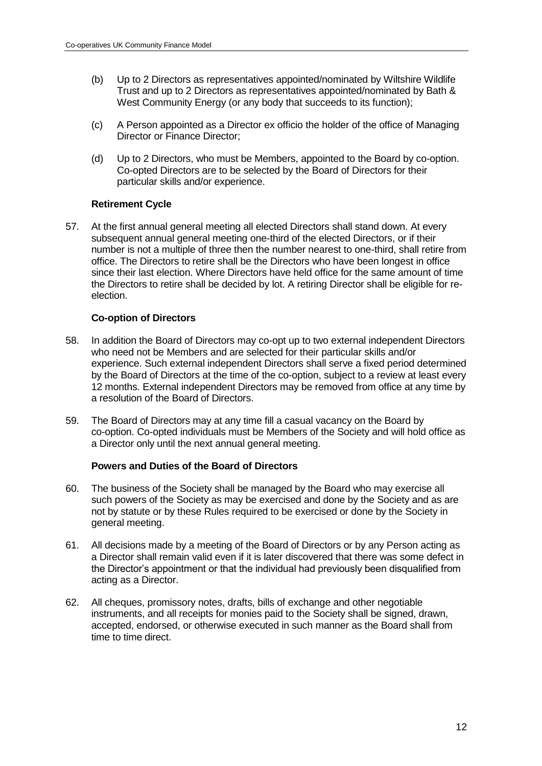- (b) Up to 2 Directors as representatives appointed/nominated by Wiltshire Wildlife Trust and up to 2 Directors as representatives appointed/nominated by Bath & West Community Energy (or any body that succeeds to its function);
- (c) A Person appointed as a Director ex officio the holder of the office of Managing Director or Finance Director;
- (d) Up to 2 Directors, who must be Members, appointed to the Board by co-option. Co-opted Directors are to be selected by the Board of Directors for their particular skills and/or experience.

## **Retirement Cycle**

57. At the first annual general meeting all elected Directors shall stand down. At every subsequent annual general meeting one-third of the elected Directors, or if their number is not a multiple of three then the number nearest to one-third, shall retire from office. The Directors to retire shall be the Directors who have been longest in office since their last election. Where Directors have held office for the same amount of time the Directors to retire shall be decided by lot. A retiring Director shall be eligible for reelection.

# **Co-option of Directors**

- 58. In addition the Board of Directors may co-opt up to two external independent Directors who need not be Members and are selected for their particular skills and/or experience. Such external independent Directors shall serve a fixed period determined by the Board of Directors at the time of the co-option, subject to a review at least every 12 months. External independent Directors may be removed from office at any time by a resolution of the Board of Directors.
- 59. The Board of Directors may at any time fill a casual vacancy on the Board by co-option. Co-opted individuals must be Members of the Society and will hold office as a Director only until the next annual general meeting.

## **Powers and Duties of the Board of Directors**

- 60. The business of the Society shall be managed by the Board who may exercise all such powers of the Society as may be exercised and done by the Society and as are not by statute or by these Rules required to be exercised or done by the Society in general meeting.
- 61. All decisions made by a meeting of the Board of Directors or by any Person acting as a Director shall remain valid even if it is later discovered that there was some defect in the Director's appointment or that the individual had previously been disqualified from acting as a Director.
- 62. All cheques, promissory notes, drafts, bills of exchange and other negotiable instruments, and all receipts for monies paid to the Society shall be signed, drawn, accepted, endorsed, or otherwise executed in such manner as the Board shall from time to time direct.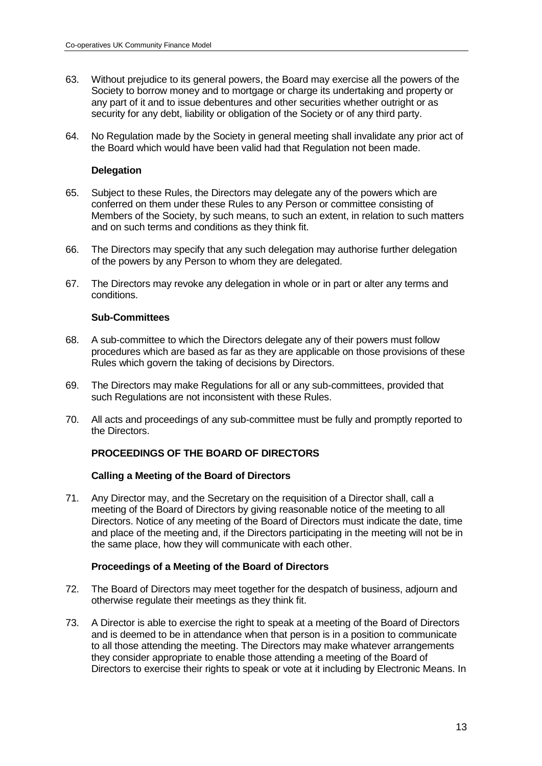- 63. Without prejudice to its general powers, the Board may exercise all the powers of the Society to borrow money and to mortgage or charge its undertaking and property or any part of it and to issue debentures and other securities whether outright or as security for any debt, liability or obligation of the Society or of any third party.
- 64. No Regulation made by the Society in general meeting shall invalidate any prior act of the Board which would have been valid had that Regulation not been made.

### **Delegation**

- 65. Subject to these Rules, the Directors may delegate any of the powers which are conferred on them under these Rules to any Person or committee consisting of Members of the Society, by such means, to such an extent, in relation to such matters and on such terms and conditions as they think fit.
- 66. The Directors may specify that any such delegation may authorise further delegation of the powers by any Person to whom they are delegated.
- 67. The Directors may revoke any delegation in whole or in part or alter any terms and conditions.

### **Sub-Committees**

- 68. A sub-committee to which the Directors delegate any of their powers must follow procedures which are based as far as they are applicable on those provisions of these Rules which govern the taking of decisions by Directors.
- 69. The Directors may make Regulations for all or any sub-committees, provided that such Regulations are not inconsistent with these Rules.
- 70. All acts and proceedings of any sub-committee must be fully and promptly reported to the Directors.

## **PROCEEDINGS OF THE BOARD OF DIRECTORS**

#### **Calling a Meeting of the Board of Directors**

71. Any Director may, and the Secretary on the requisition of a Director shall, call a meeting of the Board of Directors by giving reasonable notice of the meeting to all Directors. Notice of any meeting of the Board of Directors must indicate the date, time and place of the meeting and, if the Directors participating in the meeting will not be in the same place, how they will communicate with each other.

## **Proceedings of a Meeting of the Board of Directors**

- 72. The Board of Directors may meet together for the despatch of business, adjourn and otherwise regulate their meetings as they think fit.
- 73. A Director is able to exercise the right to speak at a meeting of the Board of Directors and is deemed to be in attendance when that person is in a position to communicate to all those attending the meeting. The Directors may make whatever arrangements they consider appropriate to enable those attending a meeting of the Board of Directors to exercise their rights to speak or vote at it including by Electronic Means. In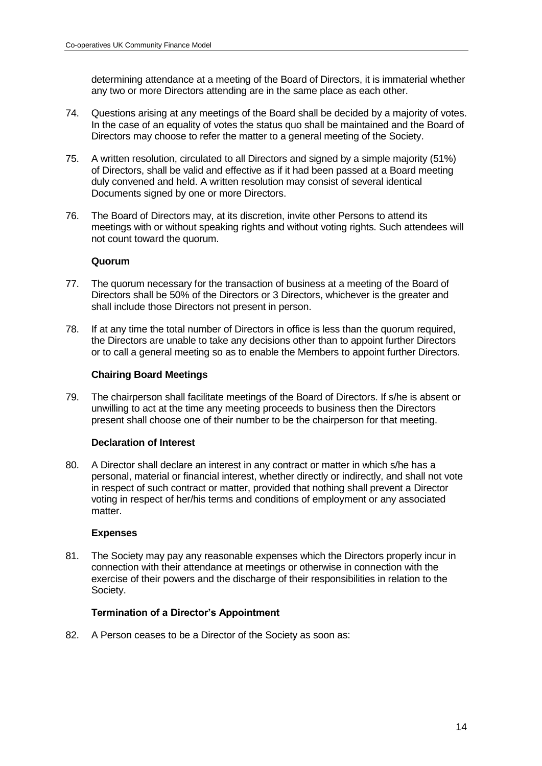determining attendance at a meeting of the Board of Directors, it is immaterial whether any two or more Directors attending are in the same place as each other.

- 74. Questions arising at any meetings of the Board shall be decided by a majority of votes. In the case of an equality of votes the status quo shall be maintained and the Board of Directors may choose to refer the matter to a general meeting of the Society.
- 75. A written resolution, circulated to all Directors and signed by a simple majority (51%) of Directors, shall be valid and effective as if it had been passed at a Board meeting duly convened and held. A written resolution may consist of several identical Documents signed by one or more Directors.
- 76. The Board of Directors may, at its discretion, invite other Persons to attend its meetings with or without speaking rights and without voting rights. Such attendees will not count toward the quorum.

#### **Quorum**

- 77. The quorum necessary for the transaction of business at a meeting of the Board of Directors shall be 50% of the Directors or 3 Directors, whichever is the greater and shall include those Directors not present in person.
- 78. If at any time the total number of Directors in office is less than the quorum required, the Directors are unable to take any decisions other than to appoint further Directors or to call a general meeting so as to enable the Members to appoint further Directors.

## **Chairing Board Meetings**

79. The chairperson shall facilitate meetings of the Board of Directors. If s/he is absent or unwilling to act at the time any meeting proceeds to business then the Directors present shall choose one of their number to be the chairperson for that meeting.

## **Declaration of Interest**

80. A Director shall declare an interest in any contract or matter in which s/he has a personal, material or financial interest, whether directly or indirectly, and shall not vote in respect of such contract or matter, provided that nothing shall prevent a Director voting in respect of her/his terms and conditions of employment or any associated matter.

#### **Expenses**

81. The Society may pay any reasonable expenses which the Directors properly incur in connection with their attendance at meetings or otherwise in connection with the exercise of their powers and the discharge of their responsibilities in relation to the Society.

## **Termination of a Director's Appointment**

82. A Person ceases to be a Director of the Society as soon as: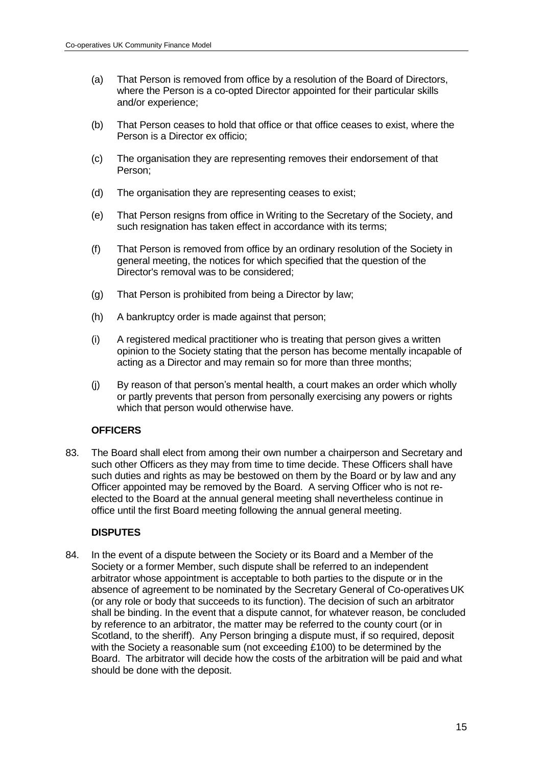- (a) That Person is removed from office by a resolution of the Board of Directors, where the Person is a co-opted Director appointed for their particular skills and/or experience;
- (b) That Person ceases to hold that office or that office ceases to exist, where the Person is a Director ex officio;
- (c) The organisation they are representing removes their endorsement of that Person;
- (d) The organisation they are representing ceases to exist;
- (e) That Person resigns from office in Writing to the Secretary of the Society, and such resignation has taken effect in accordance with its terms:
- (f) That Person is removed from office by an ordinary resolution of the Society in general meeting, the notices for which specified that the question of the Director's removal was to be considered;
- (g) That Person is prohibited from being a Director by law;
- (h) A bankruptcy order is made against that person;
- (i) A registered medical practitioner who is treating that person gives a written opinion to the Society stating that the person has become mentally incapable of acting as a Director and may remain so for more than three months;
- (j) By reason of that person's mental health, a court makes an order which wholly or partly prevents that person from personally exercising any powers or rights which that person would otherwise have.

## **OFFICERS**

83. The Board shall elect from among their own number a chairperson and Secretary and such other Officers as they may from time to time decide. These Officers shall have such duties and rights as may be bestowed on them by the Board or by law and any Officer appointed may be removed by the Board. A serving Officer who is not reelected to the Board at the annual general meeting shall nevertheless continue in office until the first Board meeting following the annual general meeting.

## **DISPUTES**

84. In the event of a dispute between the Society or its Board and a Member of the Society or a former Member, such dispute shall be referred to an independent arbitrator whose appointment is acceptable to both parties to the dispute or in the absence of agreement to be nominated by the Secretary General of Co-operatives UK (or any role or body that succeeds to its function). The decision of such an arbitrator shall be binding. In the event that a dispute cannot, for whatever reason, be concluded by reference to an arbitrator, the matter may be referred to the county court (or in Scotland, to the sheriff). Any Person bringing a dispute must, if so required, deposit with the Society a reasonable sum (not exceeding £100) to be determined by the Board. The arbitrator will decide how the costs of the arbitration will be paid and what should be done with the deposit.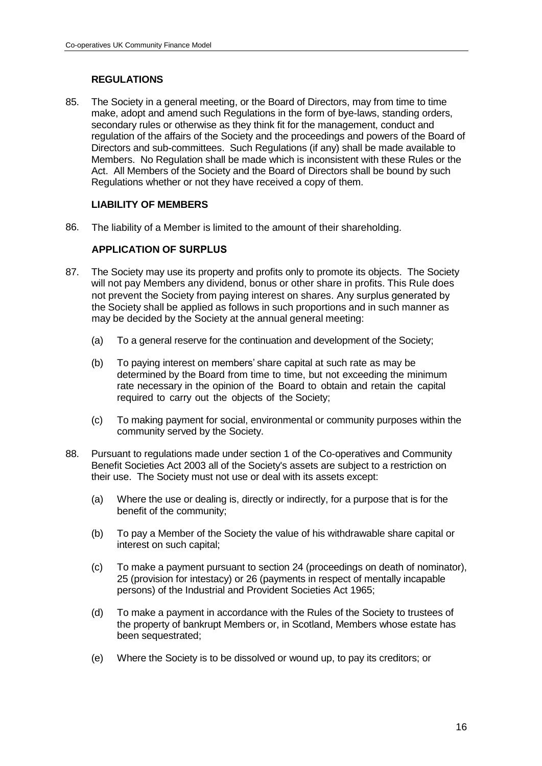# **REGULATIONS**

85. The Society in a general meeting, or the Board of Directors, may from time to time make, adopt and amend such Regulations in the form of bye-laws, standing orders, secondary rules or otherwise as they think fit for the management, conduct and regulation of the affairs of the Society and the proceedings and powers of the Board of Directors and sub-committees. Such Regulations (if any) shall be made available to Members. No Regulation shall be made which is inconsistent with these Rules or the Act. All Members of the Society and the Board of Directors shall be bound by such Regulations whether or not they have received a copy of them.

# **LIABILITY OF MEMBERS**

86. The liability of a Member is limited to the amount of their shareholding.

# **APPLICATION OF SURPLUS**

- 87. The Society may use its property and profits only to promote its objects. The Society will not pay Members any dividend, bonus or other share in profits. This Rule does not prevent the Society from paying interest on shares. Any surplus generated by the Society shall be applied as follows in such proportions and in such manner as may be decided by the Society at the annual general meeting:
	- (a) To a general reserve for the continuation and development of the Society;
	- (b) To paying interest on members' share capital at such rate as may be determined by the Board from time to time, but not exceeding the minimum rate necessary in the opinion of the Board to obtain and retain the capital required to carry out the objects of the Society;
	- (c) To making payment for social, environmental or community purposes within the community served by the Society.
- 88. Pursuant to regulations made under section 1 of the Co-operatives and Community Benefit Societies Act 2003 all of the Society's assets are subject to a restriction on their use. The Society must not use or deal with its assets except:
	- (a) Where the use or dealing is, directly or indirectly, for a purpose that is for the benefit of the community;
	- (b) To pay a Member of the Society the value of his withdrawable share capital or interest on such capital;
	- (c) To make a payment pursuant to section 24 (proceedings on death of nominator), 25 (provision for intestacy) or 26 (payments in respect of mentally incapable persons) of the Industrial and Provident Societies Act 1965;
	- (d) To make a payment in accordance with the Rules of the Society to trustees of the property of bankrupt Members or, in Scotland, Members whose estate has been sequestrated;
	- (e) Where the Society is to be dissolved or wound up, to pay its creditors; or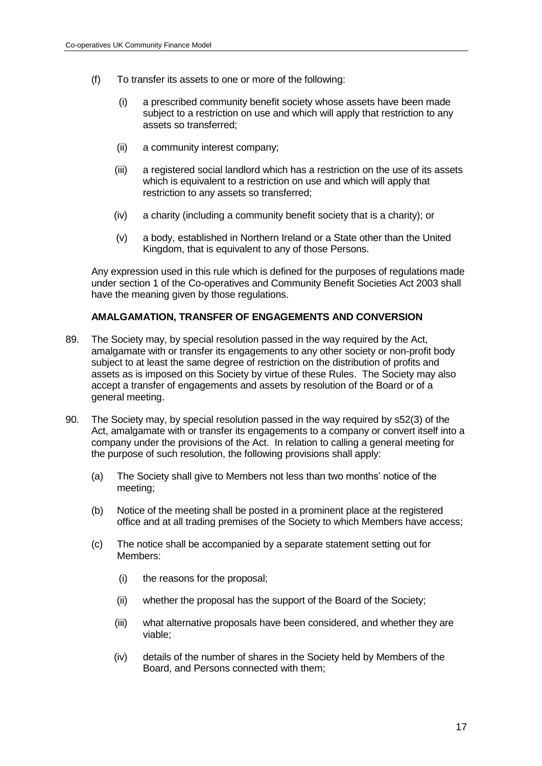- (f) To transfer its assets to one or more of the following:
	- (i) a prescribed community benefit society whose assets have been made subject to a restriction on use and which will apply that restriction to any assets so transferred;
	- (ii) a community interest company;
	- (iii) a registered social landlord which has a restriction on the use of its assets which is equivalent to a restriction on use and which will apply that restriction to any assets so transferred;
	- (iv) a charity (including a community benefit society that is a charity); or
	- (v) a body, established in Northern Ireland or a State other than the United Kingdom, that is equivalent to any of those Persons.

Any expression used in this rule which is defined for the purposes of regulations made under section 1 of the Co-operatives and Community Benefit Societies Act 2003 shall have the meaning given by those regulations.

## **AMALGAMATION, TRANSFER OF ENGAGEMENTS AND CONVERSION**

- 89. The Society may, by special resolution passed in the way required by the Act, amalgamate with or transfer its engagements to any other society or non-profit body subject to at least the same degree of restriction on the distribution of profits and assets as is imposed on this Society by virtue of these Rules. The Society may also accept a transfer of engagements and assets by resolution of the Board or of a general meeting.
- 90. The Society may, by special resolution passed in the way required by s52(3) of the Act, amalgamate with or transfer its engagements to a company or convert itself into a company under the provisions of the Act. In relation to calling a general meeting for the purpose of such resolution, the following provisions shall apply:
	- (a) The Society shall give to Members not less than two months' notice of the meeting;
	- (b) Notice of the meeting shall be posted in a prominent place at the registered office and at all trading premises of the Society to which Members have access;
	- (c) The notice shall be accompanied by a separate statement setting out for Members:
		- (i) the reasons for the proposal;
		- (ii) whether the proposal has the support of the Board of the Society;
		- (iii) what alternative proposals have been considered, and whether they are viable;
		- (iv) details of the number of shares in the Society held by Members of the Board, and Persons connected with them;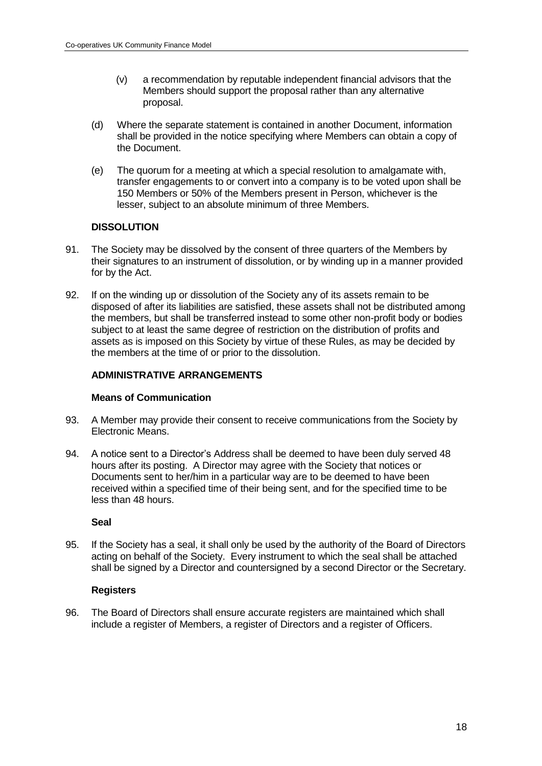- (v) a recommendation by reputable independent financial advisors that the Members should support the proposal rather than any alternative proposal.
- (d) Where the separate statement is contained in another Document, information shall be provided in the notice specifying where Members can obtain a copy of the Document.
- (e) The quorum for a meeting at which a special resolution to amalgamate with, transfer engagements to or convert into a company is to be voted upon shall be 150 Members or 50% of the Members present in Person, whichever is the lesser, subject to an absolute minimum of three Members.

## **DISSOLUTION**

- 91. The Society may be dissolved by the consent of three quarters of the Members by their signatures to an instrument of dissolution, or by winding up in a manner provided for by the Act.
- 92. If on the winding up or dissolution of the Society any of its assets remain to be disposed of after its liabilities are satisfied, these assets shall not be distributed among the members, but shall be transferred instead to some other non-profit body or bodies subject to at least the same degree of restriction on the distribution of profits and assets as is imposed on this Society by virtue of these Rules, as may be decided by the members at the time of or prior to the dissolution.

# **ADMINISTRATIVE ARRANGEMENTS**

## **Means of Communication**

- 93. A Member may provide their consent to receive communications from the Society by Electronic Means.
- 94. A notice sent to a Director's Address shall be deemed to have been duly served 48 hours after its posting. A Director may agree with the Society that notices or Documents sent to her/him in a particular way are to be deemed to have been received within a specified time of their being sent, and for the specified time to be less than 48 hours.

#### **Seal**

95. If the Society has a seal, it shall only be used by the authority of the Board of Directors acting on behalf of the Society. Every instrument to which the seal shall be attached shall be signed by a Director and countersigned by a second Director or the Secretary.

#### **Registers**

96. The Board of Directors shall ensure accurate registers are maintained which shall include a register of Members, a register of Directors and a register of Officers.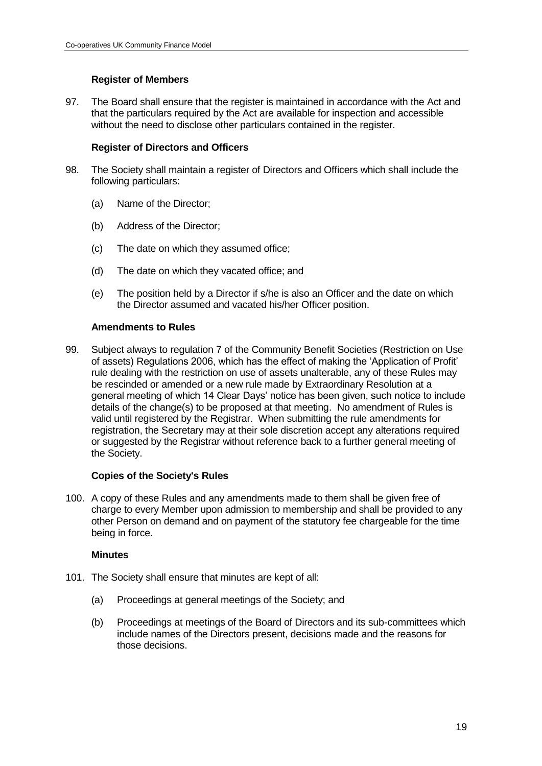# **Register of Members**

97. The Board shall ensure that the register is maintained in accordance with the Act and that the particulars required by the Act are available for inspection and accessible without the need to disclose other particulars contained in the register.

### **Register of Directors and Officers**

- 98. The Society shall maintain a register of Directors and Officers which shall include the following particulars:
	- (a) Name of the Director;
	- (b) Address of the Director;
	- (c) The date on which they assumed office;
	- (d) The date on which they vacated office; and
	- (e) The position held by a Director if s/he is also an Officer and the date on which the Director assumed and vacated his/her Officer position.

#### **Amendments to Rules**

99. Subject always to regulation 7 of the Community Benefit Societies (Restriction on Use of assets) Regulations 2006, which has the effect of making the 'Application of Profit' rule dealing with the restriction on use of assets unalterable, any of these Rules may be rescinded or amended or a new rule made by Extraordinary Resolution at a general meeting of which 14 Clear Days' notice has been given, such notice to include details of the change(s) to be proposed at that meeting. No amendment of Rules is valid until registered by the Registrar. When submitting the rule amendments for registration, the Secretary may at their sole discretion accept any alterations required or suggested by the Registrar without reference back to a further general meeting of the Society.

#### **Copies of the Society's Rules**

100. A copy of these Rules and any amendments made to them shall be given free of charge to every Member upon admission to membership and shall be provided to any other Person on demand and on payment of the statutory fee chargeable for the time being in force.

#### **Minutes**

- 101. The Society shall ensure that minutes are kept of all:
	- (a) Proceedings at general meetings of the Society; and
	- (b) Proceedings at meetings of the Board of Directors and its sub-committees which include names of the Directors present, decisions made and the reasons for those decisions.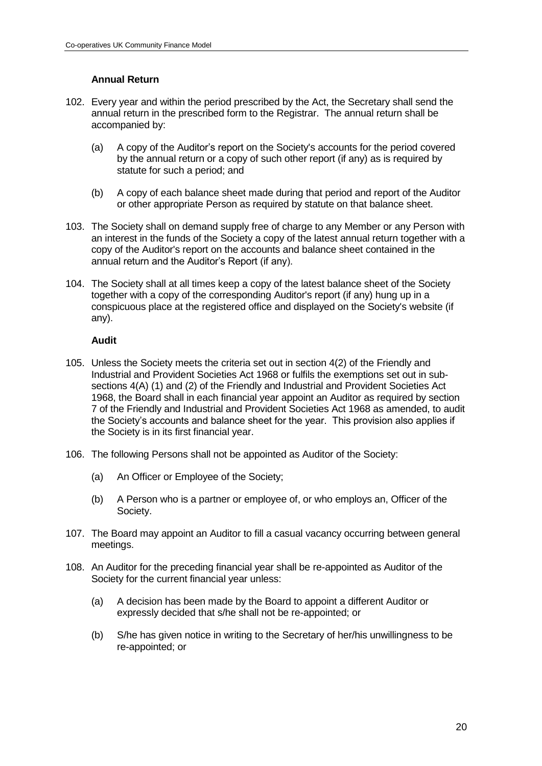# **Annual Return**

- 102. Every year and within the period prescribed by the Act, the Secretary shall send the annual return in the prescribed form to the Registrar. The annual return shall be accompanied by:
	- (a) A copy of the Auditor's report on the Society's accounts for the period covered by the annual return or a copy of such other report (if any) as is required by statute for such a period; and
	- (b) A copy of each balance sheet made during that period and report of the Auditor or other appropriate Person as required by statute on that balance sheet.
- 103. The Society shall on demand supply free of charge to any Member or any Person with an interest in the funds of the Society a copy of the latest annual return together with a copy of the Auditor's report on the accounts and balance sheet contained in the annual return and the Auditor's Report (if any).
- 104. The Society shall at all times keep a copy of the latest balance sheet of the Society together with a copy of the corresponding Auditor's report (if any) hung up in a conspicuous place at the registered office and displayed on the Society's website (if any).

### **Audit**

- 105. Unless the Society meets the criteria set out in section 4(2) of the Friendly and Industrial and Provident Societies Act 1968 or fulfils the exemptions set out in subsections 4(A) (1) and (2) of the Friendly and Industrial and Provident Societies Act 1968, the Board shall in each financial year appoint an Auditor as required by section 7 of the Friendly and Industrial and Provident Societies Act 1968 as amended, to audit the Society's accounts and balance sheet for the year. This provision also applies if the Society is in its first financial year.
- 106. The following Persons shall not be appointed as Auditor of the Society:
	- (a) An Officer or Employee of the Society;
	- (b) A Person who is a partner or employee of, or who employs an, Officer of the Society.
- 107. The Board may appoint an Auditor to fill a casual vacancy occurring between general meetings.
- 108. An Auditor for the preceding financial year shall be re-appointed as Auditor of the Society for the current financial year unless:
	- (a) A decision has been made by the Board to appoint a different Auditor or expressly decided that s/he shall not be re-appointed; or
	- (b) S/he has given notice in writing to the Secretary of her/his unwillingness to be re-appointed; or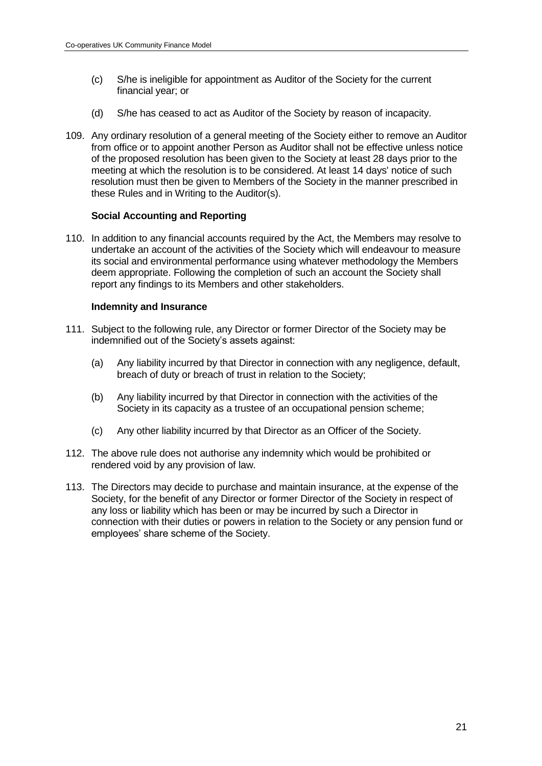- (c) S/he is ineligible for appointment as Auditor of the Society for the current financial year; or
- (d) S/he has ceased to act as Auditor of the Society by reason of incapacity.
- 109. Any ordinary resolution of a general meeting of the Society either to remove an Auditor from office or to appoint another Person as Auditor shall not be effective unless notice of the proposed resolution has been given to the Society at least 28 days prior to the meeting at which the resolution is to be considered. At least 14 days' notice of such resolution must then be given to Members of the Society in the manner prescribed in these Rules and in Writing to the Auditor(s).

### **Social Accounting and Reporting**

110. In addition to any financial accounts required by the Act, the Members may resolve to undertake an account of the activities of the Society which will endeavour to measure its social and environmental performance using whatever methodology the Members deem appropriate. Following the completion of such an account the Society shall report any findings to its Members and other stakeholders.

#### **Indemnity and Insurance**

- 111. Subject to the following rule, any Director or former Director of the Society may be indemnified out of the Society's assets against:
	- (a) Any liability incurred by that Director in connection with any negligence, default, breach of duty or breach of trust in relation to the Society;
	- (b) Any liability incurred by that Director in connection with the activities of the Society in its capacity as a trustee of an occupational pension scheme;
	- (c) Any other liability incurred by that Director as an Officer of the Society.
- 112. The above rule does not authorise any indemnity which would be prohibited or rendered void by any provision of law.
- 113. The Directors may decide to purchase and maintain insurance, at the expense of the Society, for the benefit of any Director or former Director of the Society in respect of any loss or liability which has been or may be incurred by such a Director in connection with their duties or powers in relation to the Society or any pension fund or employees' share scheme of the Society.